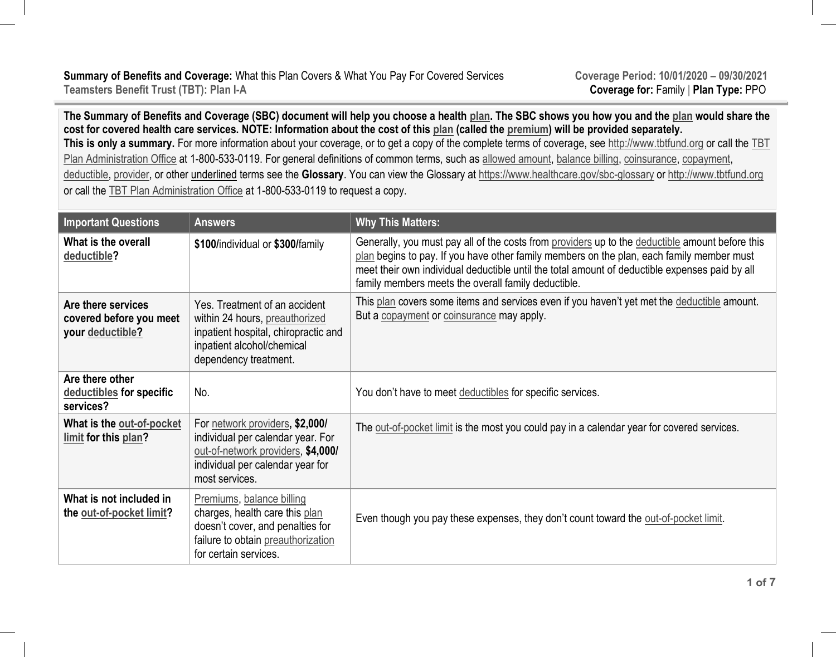**The Summary of Benefits and Coverage (SBC) document will help you choose a health plan. The SBC shows you how you and the plan would share the cost for covered health care services. NOTE: Information about the cost of this plan (called the premium) will be provided separately.**  This is only a summary. For more information about your coverage, or to get a copy of the complete terms of coverage, see http://www.tbtfund.org or call the TBT Plan Administration Office at 1-800-533-0119. For general definitions of common terms, such as <u>allowed amount,</u> balance billing, coinsurance, copayment, deductible, provider, or other underlined terms see the **Glossary**. You can view the Glossary at https://www.healthcare.gov/sbc-glossary or http://www.tbtfund.org or call the TBT Plan Administration Office at 1-800-533-0119 to request a copy.

| <b>Important Questions</b>                                        | <b>Answers</b>                                                                                                                                                   | <b>Why This Matters:</b>                                                                                                                                                                                                                                                                                                                              |
|-------------------------------------------------------------------|------------------------------------------------------------------------------------------------------------------------------------------------------------------|-------------------------------------------------------------------------------------------------------------------------------------------------------------------------------------------------------------------------------------------------------------------------------------------------------------------------------------------------------|
| What is the overall<br>deductible?                                | \$100/individual or \$300/family                                                                                                                                 | Generally, you must pay all of the costs from providers up to the deductible amount before this<br>plan begins to pay. If you have other family members on the plan, each family member must<br>meet their own individual deductible until the total amount of deductible expenses paid by all<br>family members meets the overall family deductible. |
| Are there services<br>covered before you meet<br>your deductible? | Yes. Treatment of an accident<br>within 24 hours, preauthorized<br>inpatient hospital, chiropractic and<br>inpatient alcohol/chemical<br>dependency treatment.   | This plan covers some items and services even if you haven't yet met the deductible amount.<br>But a copayment or coinsurance may apply.                                                                                                                                                                                                              |
| Are there other<br>deductibles for specific<br>services?          | No.                                                                                                                                                              | You don't have to meet deductibles for specific services.                                                                                                                                                                                                                                                                                             |
| What is the out-of-pocket<br>limit for this plan?                 | For network providers, \$2,000/<br>individual per calendar year. For<br>out-of-network providers, \$4,000/<br>individual per calendar year for<br>most services. | The out-of-pocket limit is the most you could pay in a calendar year for covered services.                                                                                                                                                                                                                                                            |
| What is not included in<br>the out-of-pocket limit?               | Premiums, balance billing<br>charges, health care this plan<br>doesn't cover, and penalties for<br>failure to obtain preauthorization<br>for certain services.   | Even though you pay these expenses, they don't count toward the out-of-pocket limit.                                                                                                                                                                                                                                                                  |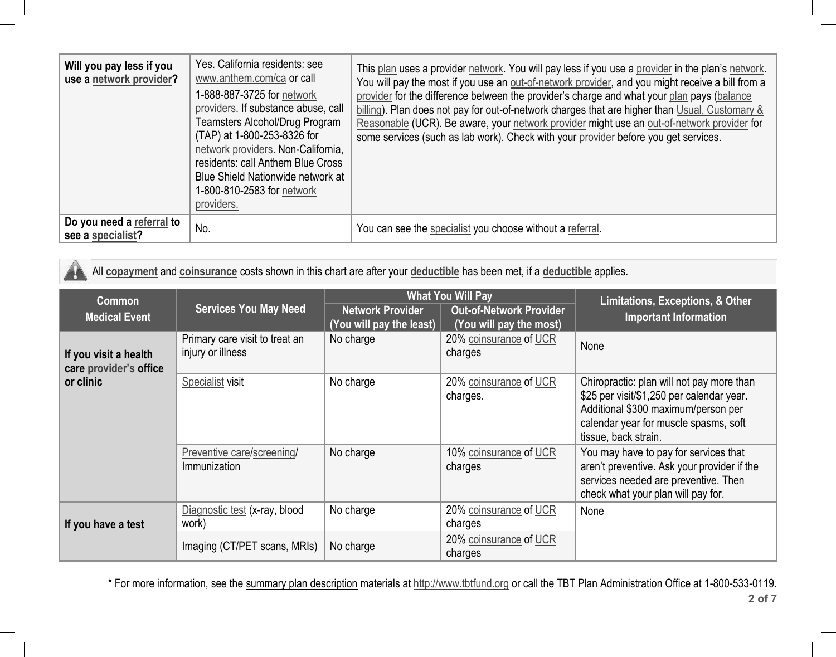| Will you pay less if you<br>use a network provider? | Yes. California residents: see<br>www.anthem.com/ca or call<br>1-888-887-3725 for network<br>providers. If substance abuse, call<br><b>Teamsters Alcohol/Drug Program</b><br>(TAP) at 1-800-253-8326 for<br>network providers. Non-California,<br>residents: call Anthem Blue Cross<br>Blue Shield Nationwide network at<br>1-800-810-2583 for network<br>providers. | This plan uses a provider network. You will pay less if you use a provider in the plan's network.<br>You will pay the most if you use an out-of-network provider, and you might receive a bill from a<br>provider for the difference between the provider's charge and what your plan pays (balance<br>billing). Plan does not pay for out-of-network charges that are higher than Usual, Customary &<br>Reasonable (UCR). Be aware, your network provider might use an out-of-network provider for<br>some services (such as lab work). Check with your provider before you get services. |
|-----------------------------------------------------|----------------------------------------------------------------------------------------------------------------------------------------------------------------------------------------------------------------------------------------------------------------------------------------------------------------------------------------------------------------------|--------------------------------------------------------------------------------------------------------------------------------------------------------------------------------------------------------------------------------------------------------------------------------------------------------------------------------------------------------------------------------------------------------------------------------------------------------------------------------------------------------------------------------------------------------------------------------------------|
| Do you need a referral to<br>see a specialist?      | No.                                                                                                                                                                                                                                                                                                                                                                  | You can see the specialist you choose without a referral.                                                                                                                                                                                                                                                                                                                                                                                                                                                                                                                                  |

All **copayment** and **coinsurance** costs shown in this chart are after your **deductible** has been met, if a **deductible** applies.

41

| <b>Common</b><br><b>Medical Event</b>                        | <b>Services You May Need</b>                        | <b>Network Provider</b><br>(You will pay the least) | <b>What You Will Pay</b><br><b>Out-of-Network Provider</b><br>(You will pay the most) | Limitations, Exceptions, & Other<br><b>Important Information</b>                                                                                                                               |
|--------------------------------------------------------------|-----------------------------------------------------|-----------------------------------------------------|---------------------------------------------------------------------------------------|------------------------------------------------------------------------------------------------------------------------------------------------------------------------------------------------|
| If you visit a health<br>care provider's office<br>or clinic | Primary care visit to treat an<br>injury or illness | No charge                                           | 20% coinsurance of UCR<br>charges                                                     | None                                                                                                                                                                                           |
|                                                              | Specialist visit                                    | No charge                                           | 20% coinsurance of UCR<br>charges.                                                    | Chiropractic: plan will not pay more than<br>\$25 per visit/\$1,250 per calendar year.<br>Additional \$300 maximum/person per<br>calendar year for muscle spasms, soft<br>tissue, back strain. |
|                                                              | Preventive care/screening/<br>Immunization          | No charge                                           | 10% coinsurance of UCR<br>charges                                                     | You may have to pay for services that<br>aren't preventive. Ask your provider if the<br>services needed are preventive. Then<br>check what your plan will pay for.                             |
| If you have a test                                           | Diagnostic test (x-ray, blood<br>work)              | No charge                                           | 20% coinsurance of UCR<br>charges                                                     | None                                                                                                                                                                                           |
|                                                              | Imaging (CT/PET scans, MRIs)                        | No charge                                           | 20% coinsurance of UCR<br>charges                                                     |                                                                                                                                                                                                |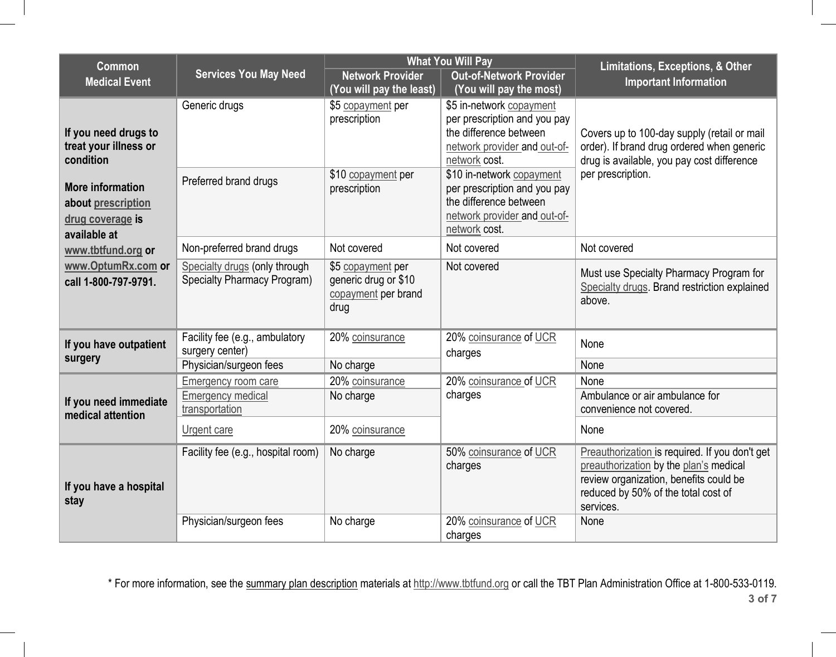| Common                                     |                                    |                             | <b>What You Will Pay</b>                      | Limitations, Exceptions, & Other                                                         |
|--------------------------------------------|------------------------------------|-----------------------------|-----------------------------------------------|------------------------------------------------------------------------------------------|
| <b>Medical Event</b>                       | <b>Services You May Need</b>       | <b>Network Provider</b>     | <b>Out-of-Network Provider</b>                | <b>Important Information</b>                                                             |
|                                            |                                    | (You will pay the least)    | (You will pay the most)                       |                                                                                          |
|                                            | Generic drugs                      | \$5 copayment per           | \$5 in-network copayment                      |                                                                                          |
|                                            |                                    | prescription                | per prescription and you pay                  |                                                                                          |
| If you need drugs to                       |                                    |                             | the difference between                        | Covers up to 100-day supply (retail or mail                                              |
| treat your illness or<br>condition         |                                    |                             | network provider and out-of-<br>network cost. | order). If brand drug ordered when generic<br>drug is available, you pay cost difference |
|                                            |                                    | \$10 copayment per          | \$10 in-network copayment                     | per prescription.                                                                        |
| <b>More information</b>                    | Preferred brand drugs              | prescription                | per prescription and you pay                  |                                                                                          |
| about prescription                         |                                    |                             | the difference between                        |                                                                                          |
| drug coverage is                           |                                    |                             | network provider and out-of-                  |                                                                                          |
| available at                               |                                    |                             | network cost.                                 |                                                                                          |
| www.tbtfund.org or                         | Non-preferred brand drugs          | Not covered                 | Not covered                                   | Not covered                                                                              |
| www.OptumRx.com or                         | Specialty drugs (only through      | \$5 copayment per           | Not covered                                   | Must use Specialty Pharmacy Program for                                                  |
| call 1-800-797-9791.                       | <b>Specialty Pharmacy Program)</b> | generic drug or \$10        |                                               | Specialty drugs. Brand restriction explained                                             |
|                                            |                                    | copayment per brand<br>drug |                                               | above.                                                                                   |
|                                            |                                    |                             |                                               |                                                                                          |
|                                            | Facility fee (e.g., ambulatory     | 20% coinsurance             | 20% coinsurance of UCR                        | None                                                                                     |
| If you have outpatient<br>surgery          | surgery center)                    |                             | charges                                       |                                                                                          |
|                                            | Physician/surgeon fees             | No charge                   |                                               | None                                                                                     |
|                                            | <b>Emergency room care</b>         | 20% coinsurance             | 20% coinsurance of UCR                        | None                                                                                     |
| If you need immediate<br>medical attention | <b>Emergency medical</b>           | No charge                   | charges                                       | Ambulance or air ambulance for                                                           |
|                                            | transportation                     |                             |                                               | convenience not covered.                                                                 |
|                                            | Urgent care                        | 20% coinsurance             |                                               | None                                                                                     |
| If you have a hospital<br>stay             | Facility fee (e.g., hospital room) | No charge                   | 50% coinsurance of UCR                        | Preauthorization is required. If you don't get                                           |
|                                            |                                    |                             | charges                                       | preauthorization by the plan's medical                                                   |
|                                            |                                    |                             |                                               | review organization, benefits could be                                                   |
|                                            |                                    |                             |                                               | reduced by 50% of the total cost of<br>services.                                         |
|                                            | Physician/surgeon fees             | No charge                   | 20% coinsurance of UCR                        | None                                                                                     |
|                                            |                                    |                             | charges                                       |                                                                                          |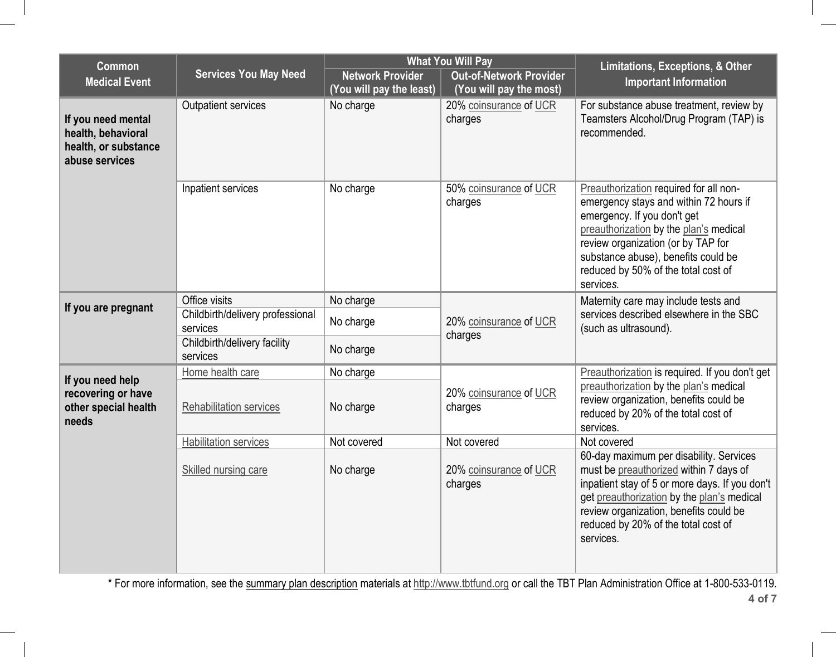|                                              | <b>What You Will Pay</b>                                     |                                                           | Limitations, Exceptions, & Other                                                                                                                                                                                                                                                           |  |
|----------------------------------------------|--------------------------------------------------------------|-----------------------------------------------------------|--------------------------------------------------------------------------------------------------------------------------------------------------------------------------------------------------------------------------------------------------------------------------------------------|--|
|                                              | <b>Network Provider</b><br>(You will pay the least)          | <b>Out-of-Network Provider</b><br>(You will pay the most) | <b>Important Information</b>                                                                                                                                                                                                                                                               |  |
| <b>Outpatient services</b>                   | No charge                                                    | 20% coinsurance of UCR<br>charges                         | For substance abuse treatment, review by<br>Teamsters Alcohol/Drug Program (TAP) is<br>recommended.                                                                                                                                                                                        |  |
| Inpatient services                           | No charge                                                    | 50% coinsurance of UCR<br>charges                         | Preauthorization required for all non-<br>emergency stays and within 72 hours if<br>emergency. If you don't get<br>preauthorization by the plan's medical<br>review organization (or by TAP for<br>substance abuse), benefits could be<br>reduced by 50% of the total cost of<br>services. |  |
| Office visits                                | No charge                                                    |                                                           | Maternity care may include tests and                                                                                                                                                                                                                                                       |  |
| Childbirth/delivery professional<br>services | No charge                                                    | 20% coinsurance of UCR<br>charges                         | services described elsewhere in the SBC<br>(such as ultrasound).                                                                                                                                                                                                                           |  |
| services                                     | No charge                                                    |                                                           |                                                                                                                                                                                                                                                                                            |  |
| Home health care                             | No charge                                                    |                                                           | Preauthorization is required. If you don't get                                                                                                                                                                                                                                             |  |
| Rehabilitation services                      | No charge                                                    | 20% coinsurance of UCR<br>charges                         | preauthorization by the plan's medical<br>review organization, benefits could be<br>reduced by 20% of the total cost of<br>services.                                                                                                                                                       |  |
| <b>Habilitation services</b>                 | Not covered                                                  |                                                           | Not covered                                                                                                                                                                                                                                                                                |  |
| Skilled nursing care                         | No charge                                                    | 20% coinsurance of UCR<br>charges                         | 60-day maximum per disability. Services<br>must be preauthorized within 7 days of<br>inpatient stay of 5 or more days. If you don't<br>get preauthorization by the plan's medical<br>review organization, benefits could be<br>reduced by 20% of the total cost of<br>services.            |  |
|                                              | <b>Services You May Need</b><br>Childbirth/delivery facility |                                                           | Not covered                                                                                                                                                                                                                                                                                |  |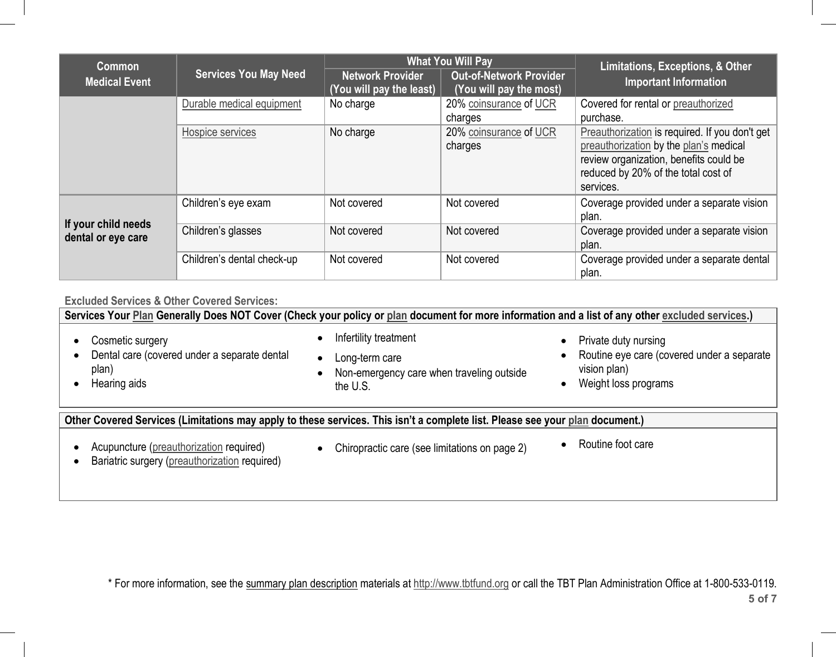| <b>Common</b>                             |                              | <b>What You Will Pay</b>                            |                                                           | Limitations, Exceptions, & Other                                                                                                                                                       |  |
|-------------------------------------------|------------------------------|-----------------------------------------------------|-----------------------------------------------------------|----------------------------------------------------------------------------------------------------------------------------------------------------------------------------------------|--|
| <b>Medical Event</b>                      | <b>Services You May Need</b> | <b>Network Provider</b><br>(You will pay the least) | <b>Out-of-Network Provider</b><br>(You will pay the most) | <b>Important Information</b>                                                                                                                                                           |  |
|                                           | Durable medical equipment    | No charge                                           | 20% coinsurance of UCR<br>charges                         | Covered for rental or preauthorized<br>purchase.                                                                                                                                       |  |
|                                           | Hospice services             | No charge                                           | 20% coinsurance of UCR<br>charges                         | Preauthorization is required. If you don't get<br>preauthorization by the plan's medical<br>review organization, benefits could be<br>reduced by 20% of the total cost of<br>services. |  |
|                                           | Children's eye exam          | Not covered                                         | Not covered                                               | Coverage provided under a separate vision<br>plan.                                                                                                                                     |  |
| If your child needs<br>dental or eye care | Children's glasses           | Not covered                                         | Not covered                                               | Coverage provided under a separate vision<br>plan.                                                                                                                                     |  |
|                                           | Children's dental check-up   | Not covered                                         | Not covered                                               | Coverage provided under a separate dental<br>plan.                                                                                                                                     |  |

**Excluded Services & Other Covered Services:**

**Services Your Plan Generally Does NOT Cover (Check your policy or plan document for more information and a list of any other excluded services.)**  $\bullet$  Cosmetic surgery  $\bullet$  Dental care (covered under a separate dental plan)  $\bullet$  Hearing aids Ō Infertility treatment Ō Long-term care Ō Non-emergency care when traveling outside the U.S.• Private duty nursing • Routine eye care (covered under a separate vision plan) Weight loss programs **Other Covered Services (Limitations may apply to these services. This isn't a complete list. Please see your plan document.)**

- $\bullet$ Acupuncture (preauthorization required)
- $\bullet$ Chiropractic care (see limitations on page 2) • Routine foot care
	-

 $\bullet$ Bariatric surgery (preauthorization required)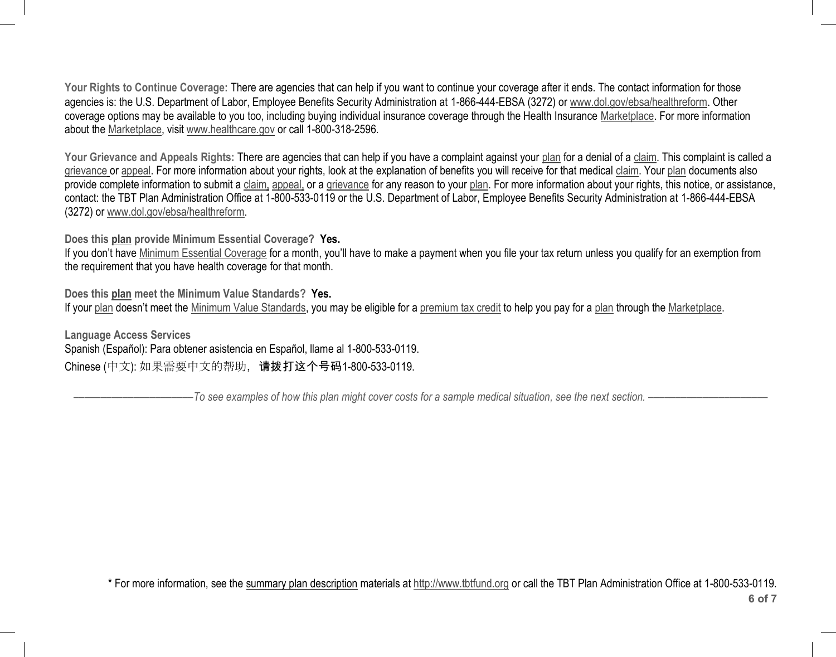Your Rights to Continue Coverage: There are agencies that can help if you want to continue your coverage after it ends. The contact information for those agencies is: the U.S. Department of Labor, Employee Benefits Security Administration at 1-866-444-EBSA (3272) or www.dol.gov/ebsa/healthreform. Other coverage options may be available to you too, including buying individual insurance coverage through the Health Insurance Marketplace. For more information about the Marketplace, visit www.healthcare.gov or call 1-800-318-2596.

**Your Grievance and Appeals Rights:** There are agencies that can help if you have a complaint against your plan for a denial of a claim. This complaint is called a grievance or appeal. For more information about your rights, look at the explanation of benefits you will receive for that medical claim. Your plan documents also provide complete information to submit a claim, appeal, or a grievance for any reason to your plan. For more information about your rights, this notice, or assistance, contact: the TBT Plan Administration Office at 1-800-533-0119 or the U.S. Department of Labor, Employee Benefits Security Administration at 1-866-444-EBSA (3272) or www.dol.gov/ebsa/healthreform.

**Does this plan provide Minimum Essential Coverage? Yes.**

If you don't have Minimum Essential Coverage for a month, you'll have to make a payment when you file your tax return unless you qualify for an exemption from the requirement that you have health coverage for that month.

**Does this plan meet the Minimum Value Standards? Yes.** If your plan doesn't meet the Minimum Value Standards, you may be eligible for a premium tax credit to help you pay for a plan through the Marketplace.

**Language Access Services** Spanish (Español): Para obtener asistencia en Español, llame al 1-800-533-0119. Chinese (中文): 如果需要中文的帮助,请拨打这个号码1-800-533-0119.

––––––––––––––––––––––*To see examples of how this plan might cover costs for a sample medical situation, see the next section. –––––––––––*–––––––––––